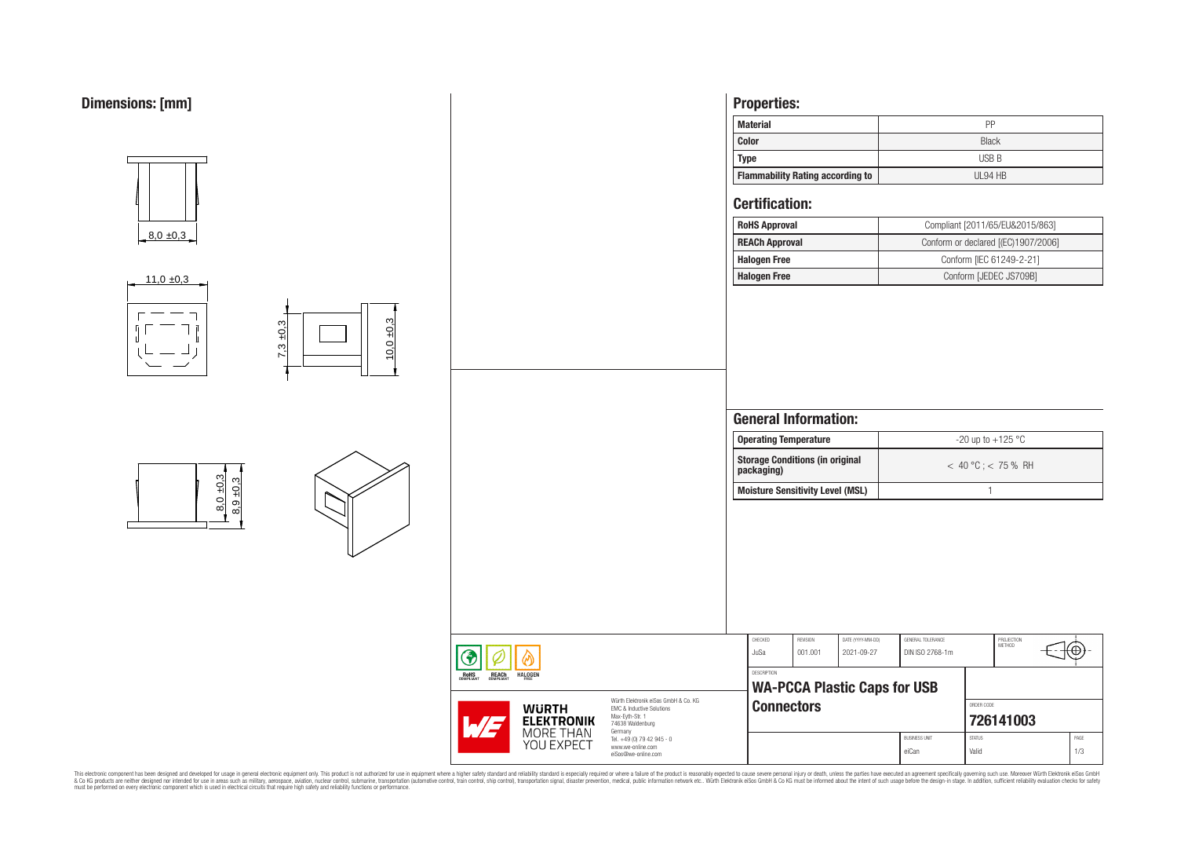



This electronic component has been designed and developed for usage in general electronic equipment only. This product is not authorized for subserved requipment where a higher selection equipment where a higher selection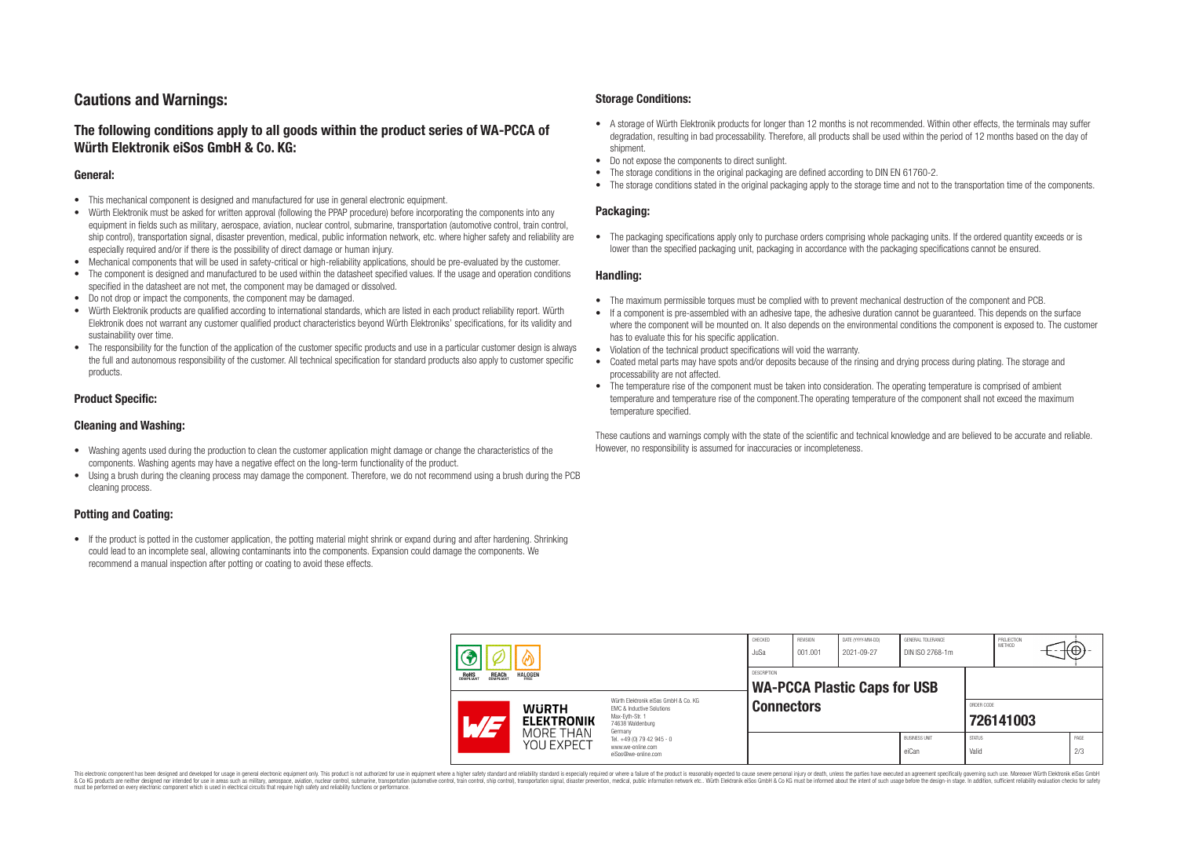# **Cautions and Warnings:**

# **The following conditions apply to all goods within the product series of WA-PCCA of Würth Elektronik eiSos GmbH & Co. KG:**

### **General:**

- This mechanical component is designed and manufactured for use in general electronic equipment.
- Würth Elektronik must be asked for written approval (following the PPAP procedure) before incorporating the components into any equipment in fields such as military, aerospace, aviation, nuclear control, submarine, transportation (automotive control, train control, ship control), transportation signal, disaster prevention, medical, public information network, etc. where higher safety and reliability are especially required and/or if there is the possibility of direct damage or human injury.
- Mechanical components that will be used in safety-critical or high-reliability applications, should be pre-evaluated by the customer.
- The component is designed and manufactured to be used within the datasheet specified values. If the usage and operation conditions specified in the datasheet are not met, the component may be damaged or dissolved.
- Do not drop or impact the components, the component may be damaged.<br>• Wirth Elektronik products are qualified according to international standard
- Würth Elektronik products are qualified according to international standards, which are listed in each product reliability report. Würth Elektronik does not warrant any customer qualified product characteristics beyond Würth Elektroniks' specifications, for its validity and sustainability over time.
- The responsibility for the function of the application of the customer specific products and use in a particular customer design is always the full and autonomous responsibility of the customer. All technical specification for standard products also apply to customer specific products.

### **Product Specific:**

### **Cleaning and Washing:**

- Washing agents used during the production to clean the customer application might damage or change the characteristics of the components. Washing agents may have a negative effect on the long-term functionality of the product.
- Using a brush during the cleaning process may damage the component. Therefore, we do not recommend using a brush during the PCB cleaning process.

## **Potting and Coating:**

• If the product is potted in the customer application, the potting material might shrink or expand during and after hardening. Shrinking could lead to an incomplete seal, allowing contaminants into the components. Expansion could damage the components. We recommend a manual inspection after potting or coating to avoid these effects.

### **Storage Conditions:**

- A storage of Würth Elektronik products for longer than 12 months is not recommended. Within other effects, the terminals may suffer degradation, resulting in bad processability. Therefore, all products shall be used within the period of 12 months based on the day of shipment.
- Do not expose the components to direct sunlight.<br>• The storage conditions in the original packaging
- The storage conditions in the original packaging are defined according to DIN EN 61760-2.
- The storage conditions stated in the original packaging apply to the storage time and not to the transportation time of the components.

### **Packaging:**

• The packaging specifications apply only to purchase orders comprising whole packaging units. If the ordered quantity exceeds or is lower than the specified packaging unit, packaging in accordance with the packaging specifications cannot be ensured.

### **Handling:**

- The maximum permissible torques must be complied with to prevent mechanical destruction of the component and PCB.
- If a component is pre-assembled with an adhesive tape, the adhesive duration cannot be guaranteed. This depends on the surface where the component will be mounted on. It also depends on the environmental conditions the component is exposed to. The customer has to evaluate this for his specific application.
- Violation of the technical product specifications will void the warranty.
- Coated metal parts may have spots and/or deposits because of the rinsing and drying process during plating. The storage and processability are not affected.
- The temperature rise of the component must be taken into consideration. The operating temperature is comprised of ambient temperature and temperature rise of the component.The operating temperature of the component shall not exceed the maximum temperature specified.

These cautions and warnings comply with the state of the scientific and technical knowledge and are believed to be accurate and reliable. However, no responsibility is assumed for inaccuracies or incompleteness.

| <b>REACH</b><br>COMPLIANT<br><b>HALOGEN</b><br>ROHS<br>COMPLIANT |                                                              |                                                                                                                                                                                               | CHECKED<br>JuSa                                    | REVISION<br>001.001 | DATE (YYYY-MM-DD)<br>2021-09-27 | GENERAL TOLERANCE<br>DIN ISO 2768-1m |                         | PROJECTION<br>METHOD |  | ₩           |
|------------------------------------------------------------------|--------------------------------------------------------------|-----------------------------------------------------------------------------------------------------------------------------------------------------------------------------------------------|----------------------------------------------------|---------------------|---------------------------------|--------------------------------------|-------------------------|----------------------|--|-------------|
|                                                                  |                                                              |                                                                                                                                                                                               | DESCRIPTION<br><b>WA-PCCA Plastic Caps for USB</b> |                     |                                 |                                      |                         |                      |  |             |
|                                                                  | <b>WURTH</b><br><b>ELEKTRONIK</b><br>MORE THAN<br>YOU EXPECT | Würth Flektronik eiSos GmbH & Co. KG<br>FMC & Inductive Solutions<br>Max-Evth-Str. 1<br>74638 Waldenburg<br>Germany<br>Tel. +49 (0) 79 42 945 - 0<br>www.we-online.com<br>eiSos@we-online.com | <b>Connectors</b>                                  |                     |                                 |                                      | ORDER CODE<br>726141003 |                      |  |             |
|                                                                  |                                                              |                                                                                                                                                                                               |                                                    |                     |                                 | <b>BUSINESS UNIT</b><br>eiCan        | <b>STATUS</b><br>Valid  |                      |  | PAGE<br>2/3 |

This electronic component has been designed and developed for usage in general electronic equipment only. This product is not authorized for use in equipment where a higher safety standard and reliability standard si espec & Ook product a label and the membed of the seasuch as marked and as which such a membed and the such assume that income in the seasuch and the simulation and the such assume that include to the such a membed and the such